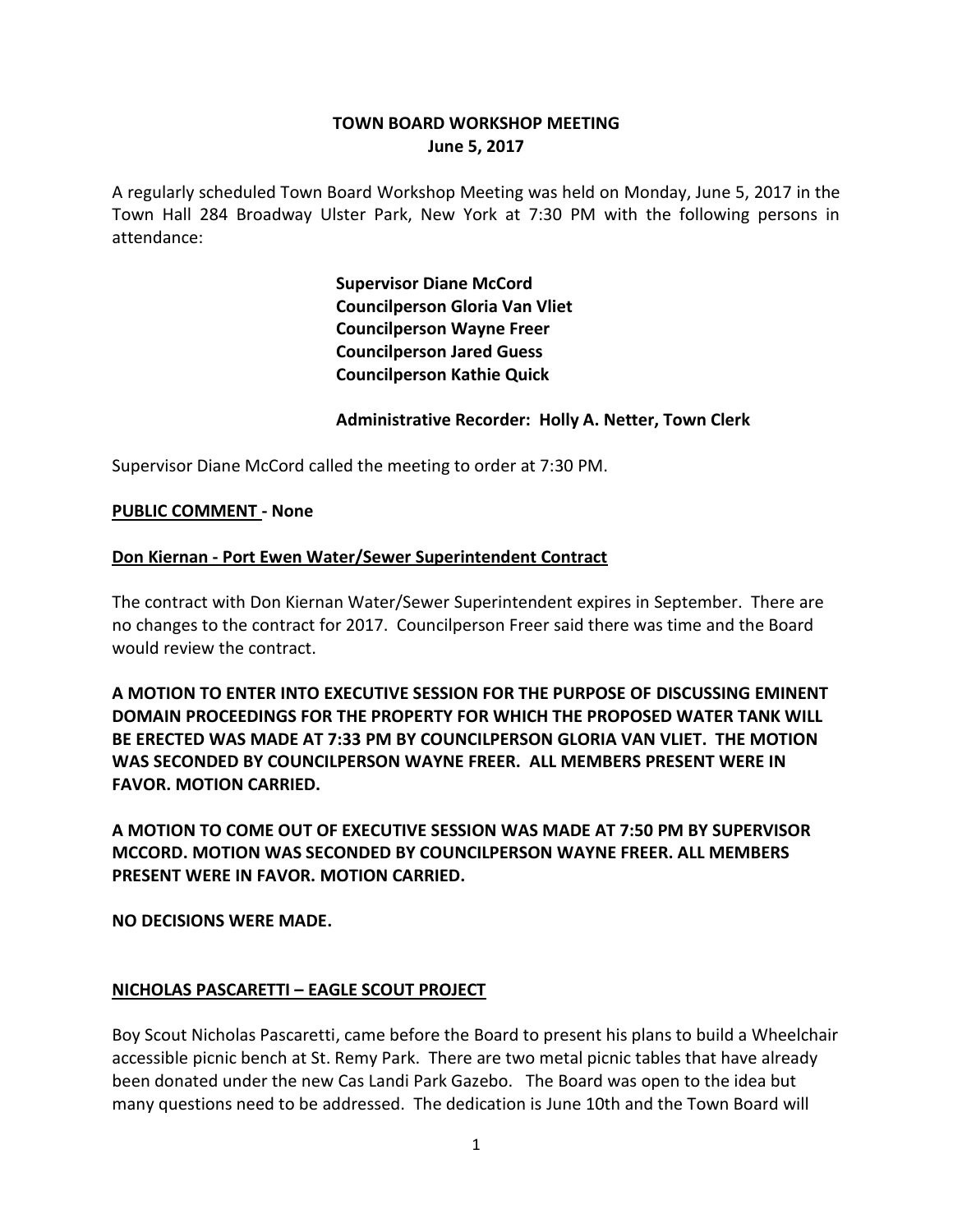## **TOWN BOARD WORKSHOP MEETING June 5, 2017**

A regularly scheduled Town Board Workshop Meeting was held on Monday, June 5, 2017 in the Town Hall 284 Broadway Ulster Park, New York at 7:30 PM with the following persons in attendance:

> **Supervisor Diane McCord Councilperson Gloria Van Vliet Councilperson Wayne Freer Councilperson Jared Guess Councilperson Kathie Quick**

**Administrative Recorder: Holly A. Netter, Town Clerk**

Supervisor Diane McCord called the meeting to order at 7:30 PM.

## **PUBLIC COMMENT - None**

## **Don Kiernan - Port Ewen Water/Sewer Superintendent Contract**

The contract with Don Kiernan Water/Sewer Superintendent expires in September. There are no changes to the contract for 2017. Councilperson Freer said there was time and the Board would review the contract.

**A MOTION TO ENTER INTO EXECUTIVE SESSION FOR THE PURPOSE OF DISCUSSING EMINENT DOMAIN PROCEEDINGS FOR THE PROPERTY FOR WHICH THE PROPOSED WATER TANK WILL BE ERECTED WAS MADE AT 7:33 PM BY COUNCILPERSON GLORIA VAN VLIET. THE MOTION WAS SECONDED BY COUNCILPERSON WAYNE FREER. ALL MEMBERS PRESENT WERE IN FAVOR. MOTION CARRIED.**

**A MOTION TO COME OUT OF EXECUTIVE SESSION WAS MADE AT 7:50 PM BY SUPERVISOR MCCORD. MOTION WAS SECONDED BY COUNCILPERSON WAYNE FREER. ALL MEMBERS PRESENT WERE IN FAVOR. MOTION CARRIED.**

#### **NO DECISIONS WERE MADE.**

## **NICHOLAS PASCARETTI – EAGLE SCOUT PROJECT**

Boy Scout Nicholas Pascaretti, came before the Board to present his plans to build a Wheelchair accessible picnic bench at St. Remy Park. There are two metal picnic tables that have already been donated under the new Cas Landi Park Gazebo. The Board was open to the idea but many questions need to be addressed. The dedication is June 10th and the Town Board will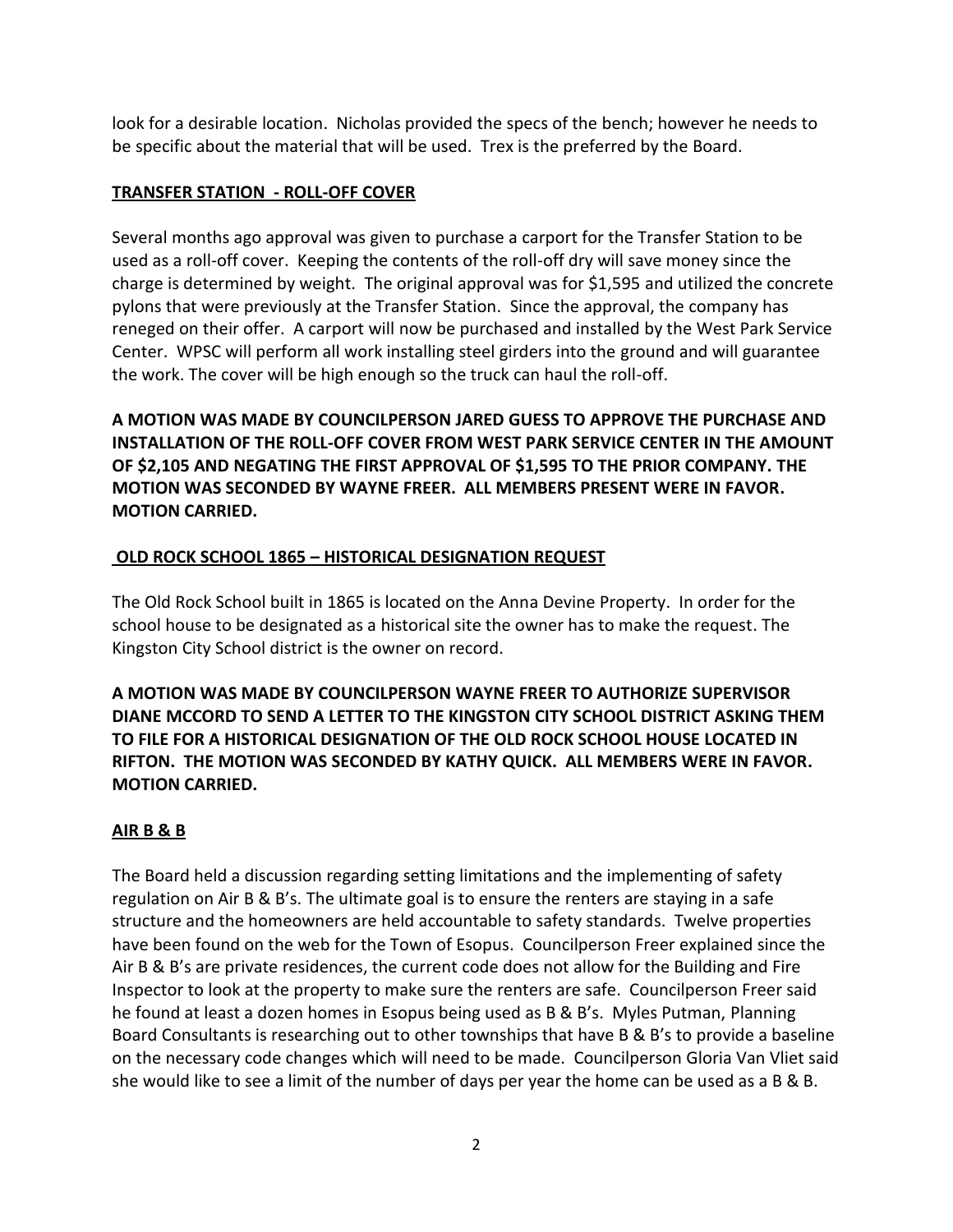look for a desirable location. Nicholas provided the specs of the bench; however he needs to be specific about the material that will be used. Trex is the preferred by the Board.

# **TRANSFER STATION - ROLL-OFF COVER**

Several months ago approval was given to purchase a carport for the Transfer Station to be used as a roll-off cover. Keeping the contents of the roll-off dry will save money since the charge is determined by weight. The original approval was for \$1,595 and utilized the concrete pylons that were previously at the Transfer Station. Since the approval, the company has reneged on their offer. A carport will now be purchased and installed by the West Park Service Center. WPSC will perform all work installing steel girders into the ground and will guarantee the work. The cover will be high enough so the truck can haul the roll-off.

**A MOTION WAS MADE BY COUNCILPERSON JARED GUESS TO APPROVE THE PURCHASE AND INSTALLATION OF THE ROLL-OFF COVER FROM WEST PARK SERVICE CENTER IN THE AMOUNT OF \$2,105 AND NEGATING THE FIRST APPROVAL OF \$1,595 TO THE PRIOR COMPANY. THE MOTION WAS SECONDED BY WAYNE FREER. ALL MEMBERS PRESENT WERE IN FAVOR. MOTION CARRIED.** 

# **OLD ROCK SCHOOL 1865 – HISTORICAL DESIGNATION REQUEST**

The Old Rock School built in 1865 is located on the Anna Devine Property. In order for the school house to be designated as a historical site the owner has to make the request. The Kingston City School district is the owner on record.

**A MOTION WAS MADE BY COUNCILPERSON WAYNE FREER TO AUTHORIZE SUPERVISOR DIANE MCCORD TO SEND A LETTER TO THE KINGSTON CITY SCHOOL DISTRICT ASKING THEM TO FILE FOR A HISTORICAL DESIGNATION OF THE OLD ROCK SCHOOL HOUSE LOCATED IN RIFTON. THE MOTION WAS SECONDED BY KATHY QUICK. ALL MEMBERS WERE IN FAVOR. MOTION CARRIED.** 

# **AIR B & B**

The Board held a discussion regarding setting limitations and the implementing of safety regulation on Air B & B's. The ultimate goal is to ensure the renters are staying in a safe structure and the homeowners are held accountable to safety standards. Twelve properties have been found on the web for the Town of Esopus. Councilperson Freer explained since the Air B & B's are private residences, the current code does not allow for the Building and Fire Inspector to look at the property to make sure the renters are safe. Councilperson Freer said he found at least a dozen homes in Esopus being used as B & B's. Myles Putman, Planning Board Consultants is researching out to other townships that have B & B's to provide a baseline on the necessary code changes which will need to be made. Councilperson Gloria Van Vliet said she would like to see a limit of the number of days per year the home can be used as a B & B.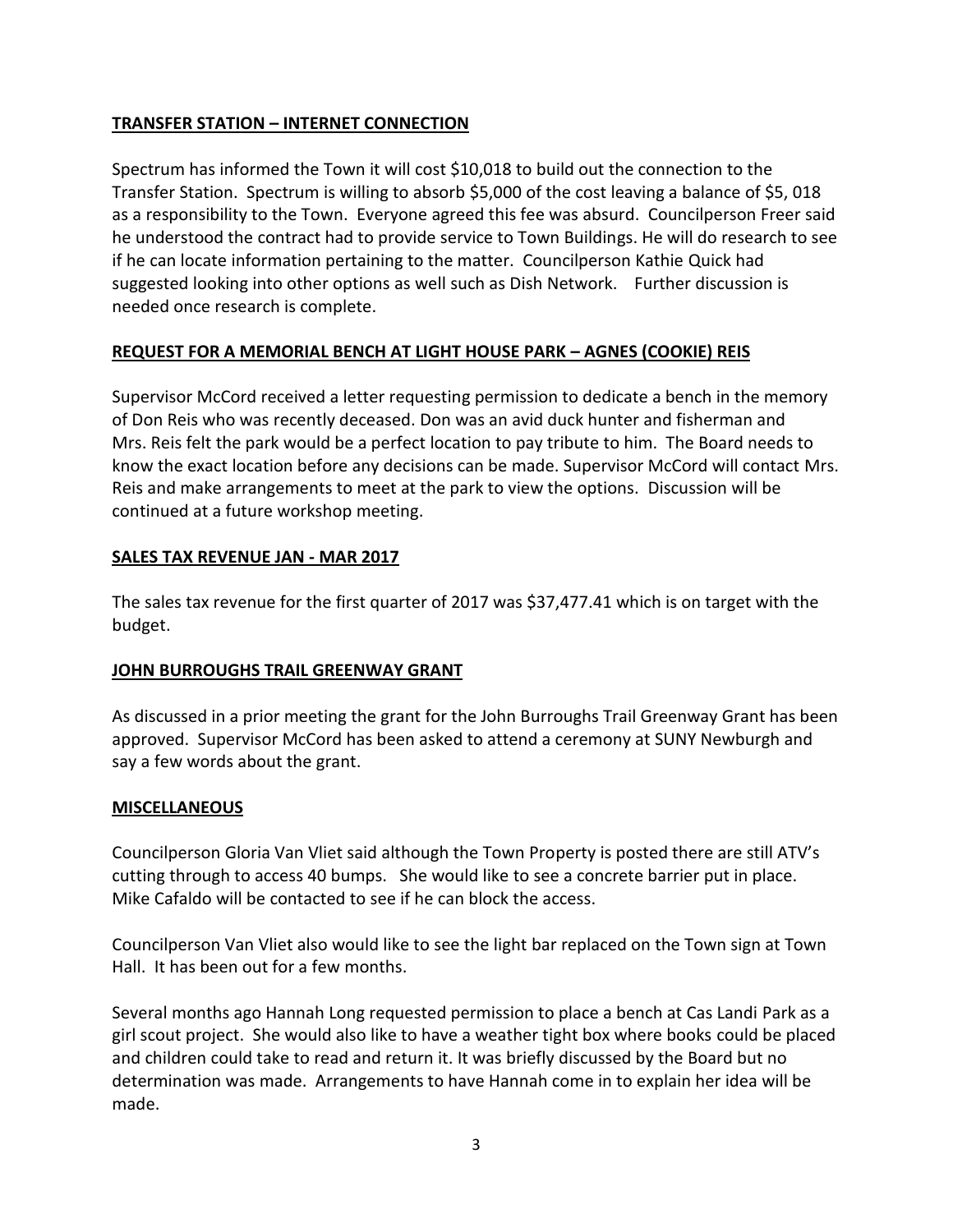## **TRANSFER STATION – INTERNET CONNECTION**

Spectrum has informed the Town it will cost \$10,018 to build out the connection to the Transfer Station. Spectrum is willing to absorb \$5,000 of the cost leaving a balance of \$5, 018 as a responsibility to the Town. Everyone agreed this fee was absurd. Councilperson Freer said he understood the contract had to provide service to Town Buildings. He will do research to see if he can locate information pertaining to the matter. Councilperson Kathie Quick had suggested looking into other options as well such as Dish Network. Further discussion is needed once research is complete.

# **REQUEST FOR A MEMORIAL BENCH AT LIGHT HOUSE PARK – AGNES (COOKIE) REIS**

Supervisor McCord received a letter requesting permission to dedicate a bench in the memory of Don Reis who was recently deceased. Don was an avid duck hunter and fisherman and Mrs. Reis felt the park would be a perfect location to pay tribute to him. The Board needs to know the exact location before any decisions can be made. Supervisor McCord will contact Mrs. Reis and make arrangements to meet at the park to view the options. Discussion will be continued at a future workshop meeting.

# **SALES TAX REVENUE JAN - MAR 2017**

The sales tax revenue for the first quarter of 2017 was \$37,477.41 which is on target with the budget.

## **JOHN BURROUGHS TRAIL GREENWAY GRANT**

As discussed in a prior meeting the grant for the John Burroughs Trail Greenway Grant has been approved. Supervisor McCord has been asked to attend a ceremony at SUNY Newburgh and say a few words about the grant.

## **MISCELLANEOUS**

Councilperson Gloria Van Vliet said although the Town Property is posted there are still ATV's cutting through to access 40 bumps. She would like to see a concrete barrier put in place. Mike Cafaldo will be contacted to see if he can block the access.

Councilperson Van Vliet also would like to see the light bar replaced on the Town sign at Town Hall. It has been out for a few months.

Several months ago Hannah Long requested permission to place a bench at Cas Landi Park as a girl scout project. She would also like to have a weather tight box where books could be placed and children could take to read and return it. It was briefly discussed by the Board but no determination was made. Arrangements to have Hannah come in to explain her idea will be made.